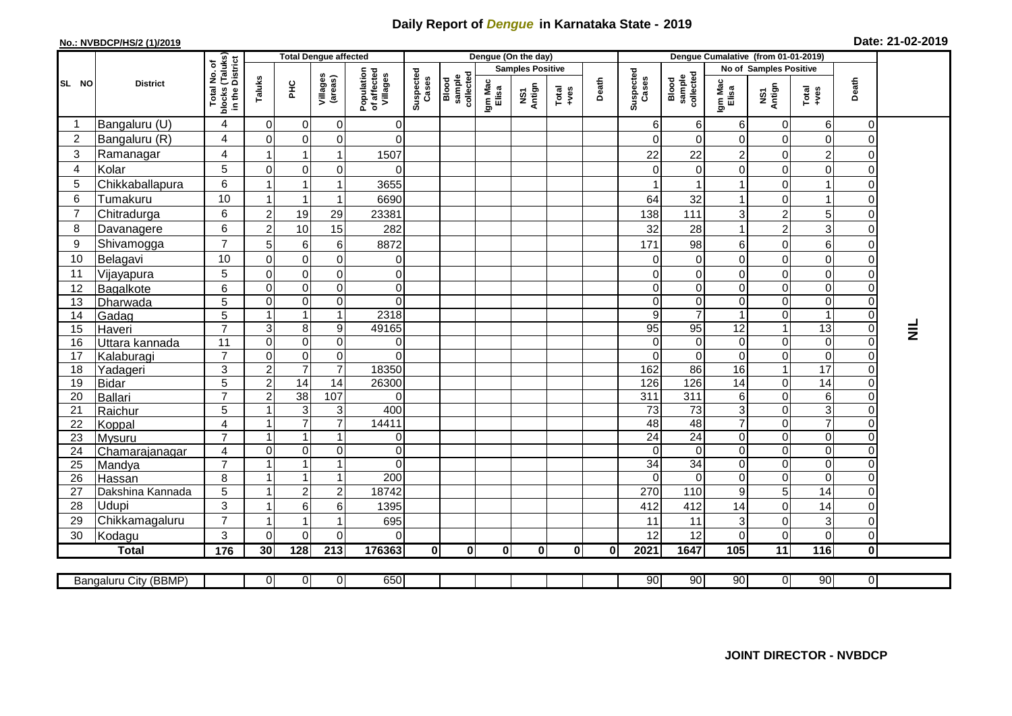## **Daily Report of** *Dengue* **in Karnataka State - 2019**

## **No.: NVBDCP/HS/2 (1)/2019 Date: 21-02-2019**

|                |                            |                                                    | <b>Total Dengue affected</b> |                                    |                               |                                       |                    |                             | Dengue (On the day)     |               |                                                                                                                                                                                                                                                                                                                                                                                                             |          | Dengue Cumalative (from 01-01-2019) |                                   |                            |                            |                         |                                  |                 |
|----------------|----------------------------|----------------------------------------------------|------------------------------|------------------------------------|-------------------------------|---------------------------------------|--------------------|-----------------------------|-------------------------|---------------|-------------------------------------------------------------------------------------------------------------------------------------------------------------------------------------------------------------------------------------------------------------------------------------------------------------------------------------------------------------------------------------------------------------|----------|-------------------------------------|-----------------------------------|----------------------------|----------------------------|-------------------------|----------------------------------|-----------------|
| SL NO          |                            |                                                    |                              |                                    |                               |                                       |                    |                             | <b>Samples Positive</b> |               |                                                                                                                                                                                                                                                                                                                                                                                                             |          |                                     |                                   | No of Samples Positive     |                            |                         |                                  |                 |
|                | <b>District</b>            | Total No. of<br>blocks (Taluks)<br>in the District | Taluks                       | ᆂ                                  | Villages<br>(areas)           | Population<br>of affected<br>Villages | Suspected<br>Cases | sample<br>collecte<br>Blood | Igm Mac<br>Elisa        | NS1<br>Antign | $\begin{array}{c}\n\text{Total} \\ \text{1-3} \\ \text{1-4} \\ \text{1-5} \\ \text{1-5} \\ \text{1-6} \\ \text{1-6} \\ \text{1-6} \\ \text{1-6} \\ \text{1-6} \\ \text{1-6} \\ \text{1-6} \\ \text{1-6} \\ \text{1-6} \\ \text{1-6} \\ \text{1-6} \\ \text{1-6} \\ \text{1-6} \\ \text{1-6} \\ \text{1-6} \\ \text{1-6} \\ \text{1-6} \\ \text{1-6} \\ \text{1-6} \\ \text{1-6} \\ \text{1-6} \\ \text{1-6$ | Death    | Suspected<br>Cases                  | collected<br>sample<br>Blood      | Igm Mac<br>Elisa           | NS1<br>Antign              | Total<br>+ves           | Death                            |                 |
| -1             | Bangaluru (U)              | 4                                                  | 0                            | $\mathbf 0$                        | $\mathbf 0$                   | 0                                     |                    |                             |                         |               |                                                                                                                                                                                                                                                                                                                                                                                                             |          | 6                                   | 6                                 | 6                          | 0                          | 6                       | $\overline{0}$                   |                 |
| $\overline{2}$ | Bangaluru (R)              | 4                                                  | $\Omega$                     | $\mathbf 0$                        | 0                             | $\Omega$                              |                    |                             |                         |               |                                                                                                                                                                                                                                                                                                                                                                                                             |          | $\Omega$                            | $\mathbf 0$                       | $\mathbf 0$                | $\mathbf 0$                | 0                       | $\mathbf 0$                      |                 |
| 3              | Ramanagar                  | $\overline{4}$                                     | -1                           | $\mathbf{1}$                       | 1                             | 1507                                  |                    |                             |                         |               |                                                                                                                                                                                                                                                                                                                                                                                                             |          | 22                                  | 22                                | $\overline{2}$             | $\mathbf 0$                | $\overline{c}$          | $\Omega$                         |                 |
| $\overline{4}$ | Kolar                      | 5                                                  | $\mathbf{0}$                 | $\mathbf 0$                        | 0                             | 0                                     |                    |                             |                         |               |                                                                                                                                                                                                                                                                                                                                                                                                             |          | $\Omega$                            | $\mathbf 0$                       | $\overline{0}$             | $\mathbf 0$                | $\mathbf 0$             | $\Omega$                         |                 |
| 5              | Chikkaballapura            | 6                                                  | $\overline{1}$               | $\overline{1}$                     | 1                             | 3655                                  |                    |                             |                         |               |                                                                                                                                                                                                                                                                                                                                                                                                             |          |                                     | -1                                | $\mathbf{1}$               | 0                          | 1                       | $\overline{O}$                   |                 |
| 6              | Tumakuru                   | 10                                                 | $\overline{1}$               | $\mathbf 1$                        | 1                             | 6690                                  |                    |                             |                         |               |                                                                                                                                                                                                                                                                                                                                                                                                             |          | 64                                  | 32                                | $\mathbf{1}$               | 0                          | $\overline{1}$          | $\Omega$                         |                 |
| $\overline{7}$ | Chitradurga                | 6                                                  | $\overline{2}$               | 19                                 | 29                            | 23381                                 |                    |                             |                         |               |                                                                                                                                                                                                                                                                                                                                                                                                             |          | 138                                 | 111                               | 3                          | $\overline{c}$             | 5 <sup>1</sup>          | $\overline{0}$                   |                 |
| 8              | Davanagere                 | 6                                                  | $\overline{2}$               | 10                                 | 15                            | 282                                   |                    |                             |                         |               |                                                                                                                                                                                                                                                                                                                                                                                                             |          | 32                                  | 28                                | $\mathbf{1}$               | $\overline{2}$             | $\overline{3}$          | $\overline{0}$                   |                 |
| 9              | Shivamogga                 | $\overline{7}$                                     | 5                            | 6                                  | $\,6$                         | 8872                                  |                    |                             |                         |               |                                                                                                                                                                                                                                                                                                                                                                                                             |          | 171                                 | 98                                | $\,6$                      | $\mathbf 0$                | 6                       | $\Omega$                         |                 |
| 10             | Belagavi                   | 10                                                 | $\mathbf{0}$                 | $\mathbf 0$                        | $\mathbf 0$                   | 0                                     |                    |                             |                         |               |                                                                                                                                                                                                                                                                                                                                                                                                             |          | $\Omega$                            | $\mathbf 0$                       | $\mathbf 0$                | $\mathbf 0$                | $\mathbf 0$             | $\Omega$                         |                 |
| 11             | Vijayapura                 | $\mathbf 5$                                        | $\mathbf 0$                  | $\pmb{0}$                          | $\mathsf 0$                   | $\overline{0}$                        |                    |                             |                         |               |                                                                                                                                                                                                                                                                                                                                                                                                             |          | 0                                   | 0                                 | 0                          | 0                          | $\overline{0}$          | $\overline{0}$                   |                 |
| 12             | Bagalkote                  | 6                                                  | $\Omega$                     | $\mathbf 0$                        | $\overline{0}$                | $\mathbf 0$                           |                    |                             |                         |               |                                                                                                                                                                                                                                                                                                                                                                                                             |          | $\Omega$                            | $\mathbf 0$                       | $\mathbf 0$                | $\mathbf 0$                | $\mathbf 0$             | $\mathbf 0$                      |                 |
| 13             | Dharwada                   | $\overline{5}$                                     | $\mathbf 0$                  | $\mathbf 0$                        | $\mathsf 0$                   | $\Omega$                              |                    |                             |                         |               |                                                                                                                                                                                                                                                                                                                                                                                                             |          | $\Omega$                            | $\mathsf{O}\xspace$               | $\mathbf 0$                | $\mathbf 0$                | $\mathbf 0$             | $\overline{0}$                   |                 |
| 14             | Gadag                      | 5                                                  | 1                            | $\overline{1}$                     | 1                             | 2318                                  |                    |                             |                         |               |                                                                                                                                                                                                                                                                                                                                                                                                             |          | $\overline{9}$                      | $\overline{7}$                    | $\overline{1}$             | $\mathbf 0$                | 1                       | $\overline{0}$                   |                 |
| 15             | Haveri                     | $\overline{7}$                                     | $\sqrt{3}$                   | 8                                  | 9                             | 49165                                 |                    |                             |                         |               |                                                                                                                                                                                                                                                                                                                                                                                                             |          | 95                                  | 95                                | 12                         | $\mathbf 1$                | 13                      | $\overline{0}$                   | $\bar{\bar{z}}$ |
| 16             | Uttara kannada             | 11                                                 | $\mathbf 0$                  | $\boldsymbol{0}$                   | $\mathsf 0$                   | 0                                     |                    |                             |                         |               |                                                                                                                                                                                                                                                                                                                                                                                                             |          | $\Omega$                            | $\mathsf{O}\xspace$               | $\pmb{0}$                  | $\mathbf 0$                | $\mathbf 0$             | $\overline{0}$                   |                 |
| 17             | Kalaburagi                 | $\overline{7}$                                     | $\mathbf 0$                  | $\mathbf 0$                        | 0                             | $\Omega$                              |                    |                             |                         |               |                                                                                                                                                                                                                                                                                                                                                                                                             |          | $\Omega$                            | $\overline{0}$                    | $\Omega$                   | $\mathbf 0$                | $\Omega$                | $\overline{0}$                   |                 |
| 18             | Yadageri                   | $\overline{3}$                                     | $\overline{2}$               | $\overline{7}$                     | $\overline{7}$                | 18350                                 |                    |                             |                         |               |                                                                                                                                                                                                                                                                                                                                                                                                             |          | 162                                 | 86                                | 16                         | $\mathbf{1}$               | 17                      | $\overline{0}$                   |                 |
| 19             | <b>Bidar</b>               | 5                                                  | $\overline{2}$               | $\overline{14}$                    | $\overline{14}$               | 26300                                 |                    |                             |                         |               |                                                                                                                                                                                                                                                                                                                                                                                                             |          | 126                                 | 126                               | $\overline{14}$            | 0                          | $\overline{14}$         | $\overline{0}$                   |                 |
| 20             | Ballari                    | $\overline{7}$                                     | $\overline{c}$               | $\overline{38}$                    | 107                           | 0                                     |                    |                             |                         |               |                                                                                                                                                                                                                                                                                                                                                                                                             |          | 311                                 | 311                               | 6                          | 0                          | 6                       | $\overline{0}$                   |                 |
| 21             | Raichur                    | 5                                                  |                              | 3                                  | 3                             | 400                                   |                    |                             |                         |               |                                                                                                                                                                                                                                                                                                                                                                                                             |          | $\overline{73}$                     | $\overline{c}$                    | $\overline{3}$             | $\mathbf 0$                | دى                      | $\overline{0}$                   |                 |
| 22             | Koppal                     | $\overline{\mathbf{4}}$                            | -1                           | $\overline{7}$                     | $\overline{7}$                | 14411                                 |                    |                             |                         |               |                                                                                                                                                                                                                                                                                                                                                                                                             |          | 48                                  | $\overline{48}$                   | $\overline{7}$             | $\mathbf 0$                | $\overline{7}$          | $\overline{0}$                   |                 |
| 23             | <b>Mysuru</b>              | $\overline{7}$                                     | $\overline{1}$               | $\mathbf{1}$                       | 1                             | $\overline{0}$                        |                    |                             |                         |               |                                                                                                                                                                                                                                                                                                                                                                                                             |          | 24                                  | $\overline{24}$                   | $\mathbf 0$                | $\mathbf 0$                | $\overline{0}$          | $\overline{0}$                   |                 |
| 24             | Chamarajanagar             | 4<br>$\overline{7}$                                | $\mathbf 0$<br>-1            | $\boldsymbol{0}$<br>$\overline{1}$ | $\mathbf 0$<br>$\overline{1}$ | $\mathbf 0$                           |                    |                             |                         |               |                                                                                                                                                                                                                                                                                                                                                                                                             |          | $\mathbf 0$                         | $\overline{0}$                    | $\mathbf 0$                | $\mathbf 0$                | $\mathbf 0$             | $\overline{0}$                   |                 |
| 25             | Mandya                     |                                                    | $\overline{1}$               | $\mathbf{1}$                       | 1                             | $\Omega$<br>200                       |                    |                             |                         |               |                                                                                                                                                                                                                                                                                                                                                                                                             |          | 34<br>$\Omega$                      | $\overline{34}$<br>$\overline{0}$ | $\mathbf 0$<br>$\mathbf 0$ | $\mathbf 0$<br>$\mathbf 0$ | $\mathbf 0$<br>$\Omega$ | $\overline{0}$<br>$\overline{0}$ |                 |
| 26             | Hassan<br>Dakshina Kannada | 8<br>5                                             | -1                           | $\overline{2}$                     | $\overline{c}$                | 18742                                 |                    |                             |                         |               |                                                                                                                                                                                                                                                                                                                                                                                                             |          | 270                                 | 110                               | $\boldsymbol{9}$           | 5                          | 14                      | $\overline{0}$                   |                 |
| 27<br>28       | Udupi                      | 3                                                  |                              | $\,6$                              | 6                             | 1395                                  |                    |                             |                         |               |                                                                                                                                                                                                                                                                                                                                                                                                             |          | 412                                 | 412                               | 14                         | $\mathbf 0$                | 14                      | $\overline{0}$                   |                 |
| 29             | Chikkamagaluru             | $\overline{7}$                                     | -1                           | 1                                  | 1                             | 695                                   |                    |                             |                         |               |                                                                                                                                                                                                                                                                                                                                                                                                             |          | 11                                  | 11                                | 3                          | $\mathbf 0$                | $\overline{3}$          | $\overline{O}$                   |                 |
| 30             | Kodagu                     | 3                                                  | $\Omega$                     | $\mathbf 0$                        | 0                             | 0                                     |                    |                             |                         |               |                                                                                                                                                                                                                                                                                                                                                                                                             |          | 12                                  | 12                                | $\overline{0}$             | $\mathbf 0$                | 0                       | $\overline{0}$                   |                 |
|                | <b>Total</b>               | $\frac{1}{176}$                                    | 30                           | 128                                | $\overline{213}$              | 176363                                | $\mathbf 0$        | $\mathbf{0}$                | 0                       | $\mathbf{0}$  | $\mathbf{0}$                                                                                                                                                                                                                                                                                                                                                                                                | $\bf{0}$ | 2021                                | 1647                              | 105                        | $\overline{11}$            | 116                     | $\overline{\mathbf{o}}$          |                 |
|                |                            |                                                    |                              |                                    |                               |                                       |                    |                             |                         |               |                                                                                                                                                                                                                                                                                                                                                                                                             |          |                                     |                                   |                            |                            |                         |                                  |                 |
|                | Bangaluru City (BBMP)      |                                                    | $\overline{0}$               | $\overline{0}$                     | $\overline{0}$                | 650                                   |                    |                             |                         |               |                                                                                                                                                                                                                                                                                                                                                                                                             |          | 90                                  | 90                                | 90                         | $\overline{0}$             | 90                      | $\overline{0}$                   |                 |